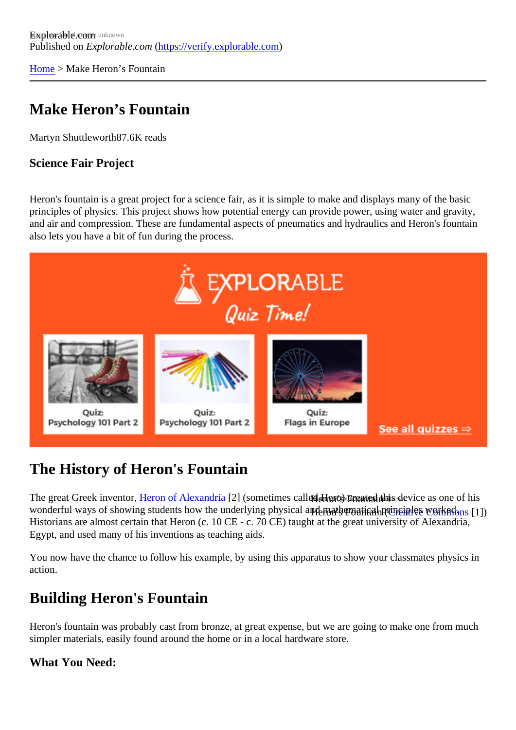[Home](https://verify.explorable.com/) > Make Heron's Fountain

# Make Heron's Fountain

Martyn Shuttlewort<sup>87.6K</sup> reads

Science Fair Project

Heron's fountain is a great project for a science fair, as it is simple to make and displays many of the basic principles of physics. This project shows how potential energy can provide power, using water and gravity, and air and compression. These are fundamental aspects of pneumatics and hydraulics and Heron's fount also lets you have a bit of fun during the process.

# The History of Heron's Fountain

The great Greek invento<mark>rleron of Alexandria</mark>2] (sometimes called Heso) cunated this device as one of his wonderful ways of showing students how the underlying physi**qal ลาย คอthematieal จยางเฝร<sub>ั</sub>กพญหรูป**รูป. Historians are almost certain that Heron (c. 10 CE - c. 70 CE) taught at the great university of Alexandria, Egypt, and used many of his inventions as teaching aids.

You now have the chance to follow his example, by using this apparatus to show your classmates physics action.

# Building Heron's Fountain

Heron's fountain was probably cast from bronze, at great expense, but we are going to make one from mu simpler materials, easily found around the home or in a local hardware store.

What You Need: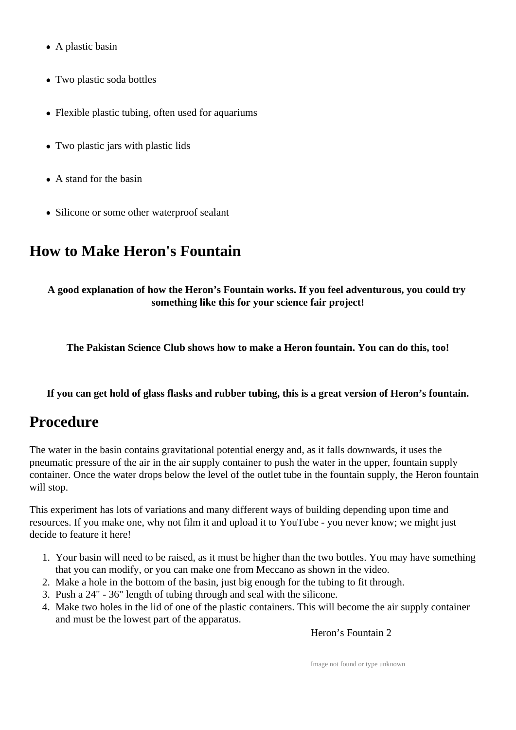- A plastic basin
- Two plastic soda bottles
- Flexible plastic tubing, often used for aquariums
- Two plastic jars with plastic lids
- A stand for the basin
- Silicone or some other waterproof sealant

# **How to Make Heron's Fountain**

**A good explanation of how the Heron's Fountain works. If you feel adventurous, you could try something like this for your science fair project!**

**The Pakistan Science Club shows how to make a Heron fountain. You can do this, too!**

**If you can get hold of glass flasks and rubber tubing, this is a great version of Heron's fountain.**

# **Procedure**

The water in the basin contains gravitational potential energy and, as it falls downwards, it uses the pneumatic pressure of the air in the air supply container to push the water in the upper, fountain supply container. Once the water drops below the level of the outlet tube in the fountain supply, the Heron fountain will stop.

This experiment has lots of variations and many different ways of building depending upon time and resources. If you make one, why not film it and upload it to YouTube - you never know; we might just decide to feature it here!

- 1. Your basin will need to be raised, as it must be higher than the two bottles. You may have something that you can modify, or you can make one from Meccano as shown in the video.
- 2. Make a hole in the bottom of the basin, just big enough for the tubing to fit through.
- 3. Push a 24" 36" length of tubing through and seal with the silicone.
- 4. Make two holes in the lid of one of the plastic containers. This will become the air supply container and must be the lowest part of the apparatus.

Heron's Fountain 2